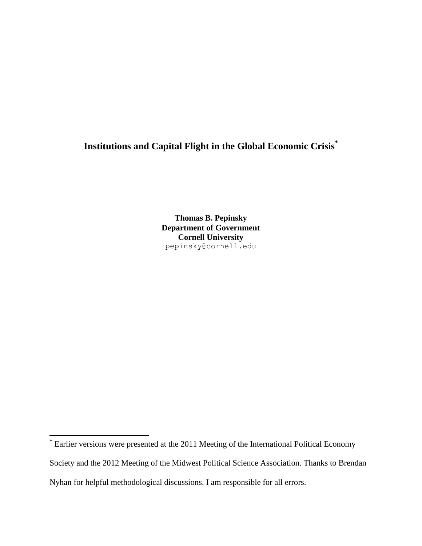# **Institutions and Capital Flight in the Global Economic Crisis\***

**Thomas B. Pepinsky Department of Government Cornell University** pepinsky@cornell.edu

 $\overline{a}$ 

<sup>\*</sup> Earlier versions were presented at the 2011 Meeting of the International Political Economy Society and the 2012 Meeting of the Midwest Political Science Association. Thanks to Brendan Nyhan for helpful methodological discussions. I am responsible for all errors.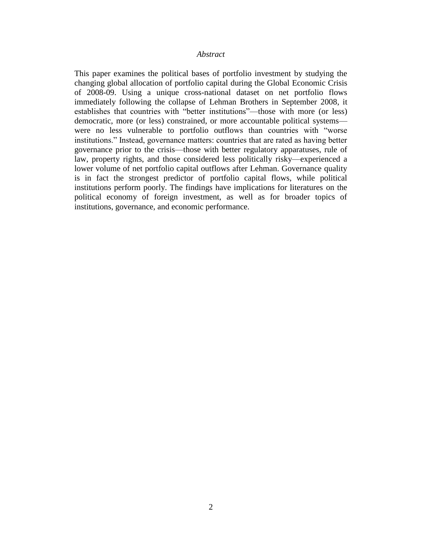#### *Abstract*

This paper examines the political bases of portfolio investment by studying the changing global allocation of portfolio capital during the Global Economic Crisis of 2008-09. Using a unique cross-national dataset on net portfolio flows immediately following the collapse of Lehman Brothers in September 2008, it establishes that countries with "better institutions"—those with more (or less) democratic, more (or less) constrained, or more accountable political systems were no less vulnerable to portfolio outflows than countries with "worse institutions." Instead, governance matters: countries that are rated as having better governance prior to the crisis—those with better regulatory apparatuses, rule of law, property rights, and those considered less politically risky—experienced a lower volume of net portfolio capital outflows after Lehman. Governance quality is in fact the strongest predictor of portfolio capital flows, while political institutions perform poorly. The findings have implications for literatures on the political economy of foreign investment, as well as for broader topics of institutions, governance, and economic performance.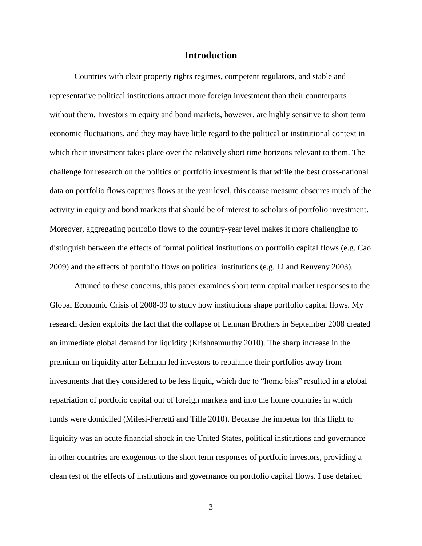#### **Introduction**

Countries with clear property rights regimes, competent regulators, and stable and representative political institutions attract more foreign investment than their counterparts without them. Investors in equity and bond markets, however, are highly sensitive to short term economic fluctuations, and they may have little regard to the political or institutional context in which their investment takes place over the relatively short time horizons relevant to them. The challenge for research on the politics of portfolio investment is that while the best cross-national data on portfolio flows captures flows at the year level, this coarse measure obscures much of the activity in equity and bond markets that should be of interest to scholars of portfolio investment. Moreover, aggregating portfolio flows to the country-year level makes it more challenging to distinguish between the effects of formal political institutions on portfolio capital flows [\(e.g. Cao](#page-34-0)  [2009\)](#page-34-0) and the effects of portfolio flows on political institutions [\(e.g. Li and Reuveny 2003\)](#page-36-0).

Attuned to these concerns, this paper examines short term capital market responses to the Global Economic Crisis of 2008-09 to study how institutions shape portfolio capital flows. My research design exploits the fact that the collapse of Lehman Brothers in September 2008 created an immediate global demand for liquidity [\(Krishnamurthy 2010\)](#page-36-1). The sharp increase in the premium on liquidity after Lehman led investors to rebalance their portfolios away from investments that they considered to be less liquid, which due to "home bias" resulted in a global repatriation of portfolio capital out of foreign markets and into the home countries in which funds were domiciled [\(Milesi-Ferretti and Tille 2010\)](#page-36-2). Because the impetus for this flight to liquidity was an acute financial shock in the United States, political institutions and governance in other countries are exogenous to the short term responses of portfolio investors, providing a clean test of the effects of institutions and governance on portfolio capital flows. I use detailed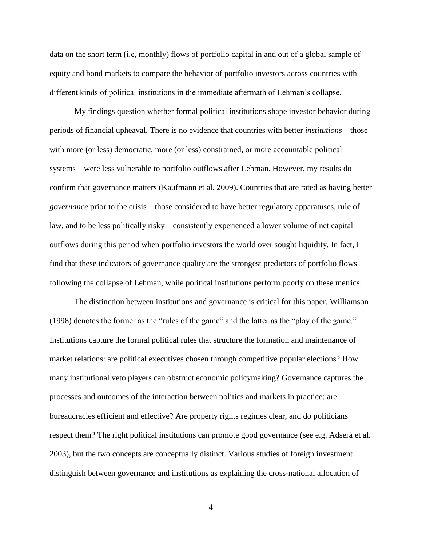data on the short term (i.e, monthly) flows of portfolio capital in and out of a global sample of equity and bond markets to compare the behavior of portfolio investors across countries with different kinds of political institutions in the immediate aftermath of Lehman's collapse.

My findings question whether formal political institutions shape investor behavior during periods of financial upheaval. There is no evidence that countries with better *institutions*—those with more (or less) democratic, more (or less) constrained, or more accountable political systems—were less vulnerable to portfolio outflows after Lehman. However, my results do confirm that governance matters [\(Kaufmann et al. 2009\)](#page-35-0). Countries that are rated as having better *governance* prior to the crisis—those considered to have better regulatory apparatuses, rule of law, and to be less politically risky—consistently experienced a lower volume of net capital outflows during this period when portfolio investors the world over sought liquidity. In fact, I find that these indicators of governance quality are the strongest predictors of portfolio flows following the collapse of Lehman, while political institutions perform poorly on these metrics.

The distinction between institutions and governance is critical for this paper. Williamson [\(1998\)](#page-37-0) denotes the former as the "rules of the game" and the latter as the "play of the game." Institutions capture the formal political rules that structure the formation and maintenance of market relations: are political executives chosen through competitive popular elections? How many institutional veto players can obstruct economic policymaking? Governance captures the processes and outcomes of the interaction between politics and markets in practice: are bureaucracies efficient and effective? Are property rights regimes clear, and do politicians respect them? The right political institutions can promote good governance [\(see e.g. Adserà et al.](#page-34-1)  [2003\)](#page-34-1), but the two concepts are conceptually distinct. Various studies of foreign investment distinguish between governance and institutions as explaining the cross-national allocation of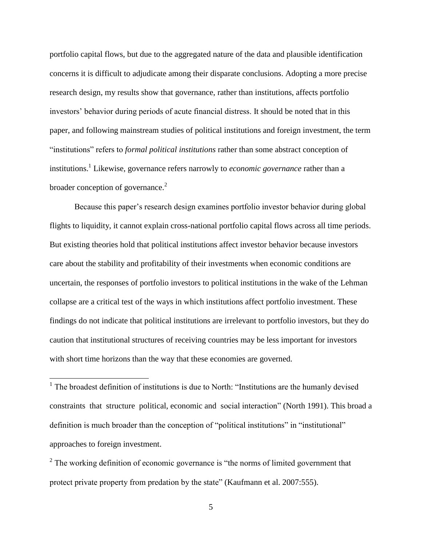portfolio capital flows, but due to the aggregated nature of the data and plausible identification concerns it is difficult to adjudicate among their disparate conclusions. Adopting a more precise research design, my results show that governance, rather than institutions, affects portfolio investors' behavior during periods of acute financial distress. It should be noted that in this paper, and following mainstream studies of political institutions and foreign investment, the term "institutions" refers to *formal political institutions* rather than some abstract conception of institutions.<sup>1</sup> Likewise, governance refers narrowly to *economic governance* rather than a broader conception of governance. $2$ 

Because this paper's research design examines portfolio investor behavior during global flights to liquidity, it cannot explain cross-national portfolio capital flows across all time periods. But existing theories hold that political institutions affect investor behavior because investors care about the stability and profitability of their investments when economic conditions are uncertain, the responses of portfolio investors to political institutions in the wake of the Lehman collapse are a critical test of the ways in which institutions affect portfolio investment. These findings do not indicate that political institutions are irrelevant to portfolio investors, but they do caution that institutional structures of receiving countries may be less important for investors with short time horizons than the way that these economies are governed.

<sup>1</sup> The broadest definition of institutions is due to North: "Institutions are the humanly devised constraints that structure political, economic and social interaction" [\(North 1991\)](#page-37-1). This broad a definition is much broader than the conception of "political institutions" in "institutional" approaches to foreign investment.

 $\overline{a}$ 

 $2^2$  The working definition of economic governance is "the norms of limited government that protect private property from predation by the state" [\(Kaufmann et al. 2007:555\)](#page-35-1).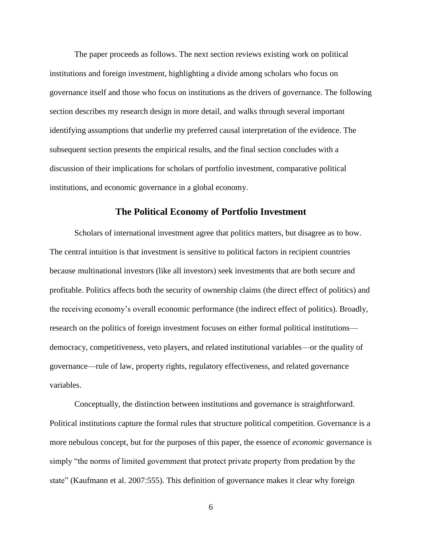The paper proceeds as follows. The next section reviews existing work on political institutions and foreign investment, highlighting a divide among scholars who focus on governance itself and those who focus on institutions as the drivers of governance. The following section describes my research design in more detail, and walks through several important identifying assumptions that underlie my preferred causal interpretation of the evidence. The subsequent section presents the empirical results, and the final section concludes with a discussion of their implications for scholars of portfolio investment, comparative political institutions, and economic governance in a global economy.

#### **The Political Economy of Portfolio Investment**

Scholars of international investment agree that politics matters, but disagree as to how. The central intuition is that investment is sensitive to political factors in recipient countries because multinational investors (like all investors) seek investments that are both secure and profitable. Politics affects both the security of ownership claims (the direct effect of politics) and the receiving economy's overall economic performance (the indirect effect of politics). Broadly, research on the politics of foreign investment focuses on either formal political institutions democracy, competitiveness, veto players, and related institutional variables—or the quality of governance—rule of law, property rights, regulatory effectiveness, and related governance variables.

Conceptually, the distinction between institutions and governance is straightforward. Political institutions capture the formal rules that structure political competition. Governance is a more nebulous concept, but for the purposes of this paper, the essence of *economic* governance is simply "the norms of limited government that protect private property from predation by the state" [\(Kaufmann et al. 2007:555\)](#page-35-1). This definition of governance makes it clear why foreign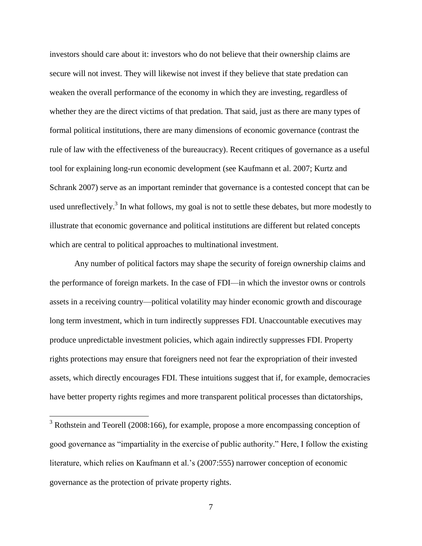investors should care about it: investors who do not believe that their ownership claims are secure will not invest. They will likewise not invest if they believe that state predation can weaken the overall performance of the economy in which they are investing, regardless of whether they are the direct victims of that predation. That said, just as there are many types of formal political institutions, there are many dimensions of economic governance (contrast the rule of law with the effectiveness of the bureaucracy). Recent critiques of governance as a useful tool for explaining long-run economic development (see [Kaufmann et al. 2007;](#page-35-1) [Kurtz and](#page-36-3)  [Schrank 2007\)](#page-36-3) serve as an important reminder that governance is a contested concept that can be used unreflectively.<sup>3</sup> In what follows, my goal is not to settle these debates, but more modestly to illustrate that economic governance and political institutions are different but related concepts which are central to political approaches to multinational investment.

Any number of political factors may shape the security of foreign ownership claims and the performance of foreign markets. In the case of FDI—in which the investor owns or controls assets in a receiving country—political volatility may hinder economic growth and discourage long term investment, which in turn indirectly suppresses FDI. Unaccountable executives may produce unpredictable investment policies, which again indirectly suppresses FDI. Property rights protections may ensure that foreigners need not fear the expropriation of their invested assets, which directly encourages FDI. These intuitions suggest that if, for example, democracies have better property rights regimes and more transparent political processes than dictatorships,

 $\overline{a}$ 

 $3$  Rothstein and Teorell [\(2008:166\)](#page-37-2), for example, propose a more encompassing conception of good governance as "impartiality in the exercise of public authority." Here, I follow the existing literature, which relies on Kaufmann et al.'s [\(2007:555\)](#page-35-1) narrower conception of economic governance as the protection of private property rights.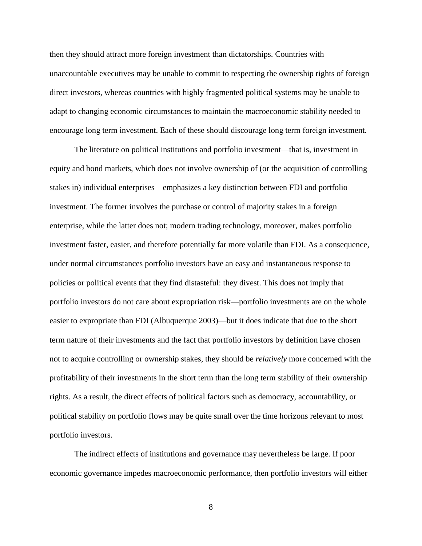then they should attract more foreign investment than dictatorships. Countries with unaccountable executives may be unable to commit to respecting the ownership rights of foreign direct investors, whereas countries with highly fragmented political systems may be unable to adapt to changing economic circumstances to maintain the macroeconomic stability needed to encourage long term investment. Each of these should discourage long term foreign investment.

The literature on political institutions and portfolio investment—that is, investment in equity and bond markets, which does not involve ownership of (or the acquisition of controlling stakes in) individual enterprises—emphasizes a key distinction between FDI and portfolio investment. The former involves the purchase or control of majority stakes in a foreign enterprise, while the latter does not; modern trading technology, moreover, makes portfolio investment faster, easier, and therefore potentially far more volatile than FDI. As a consequence, under normal circumstances portfolio investors have an easy and instantaneous response to policies or political events that they find distasteful: they divest. This does not imply that portfolio investors do not care about expropriation risk—portfolio investments are on the whole easier to expropriate than FDI [\(Albuquerque 2003\)](#page-34-2)—but it does indicate that due to the short term nature of their investments and the fact that portfolio investors by definition have chosen not to acquire controlling or ownership stakes, they should be *relatively* more concerned with the profitability of their investments in the short term than the long term stability of their ownership rights. As a result, the direct effects of political factors such as democracy, accountability, or political stability on portfolio flows may be quite small over the time horizons relevant to most portfolio investors.

The indirect effects of institutions and governance may nevertheless be large. If poor economic governance impedes macroeconomic performance, then portfolio investors will either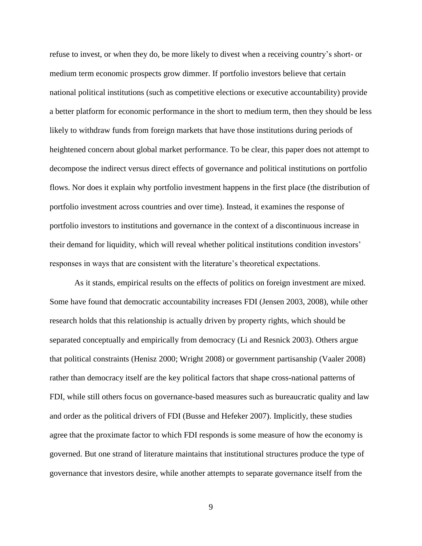refuse to invest, or when they do, be more likely to divest when a receiving country's short- or medium term economic prospects grow dimmer. If portfolio investors believe that certain national political institutions (such as competitive elections or executive accountability) provide a better platform for economic performance in the short to medium term, then they should be less likely to withdraw funds from foreign markets that have those institutions during periods of heightened concern about global market performance. To be clear, this paper does not attempt to decompose the indirect versus direct effects of governance and political institutions on portfolio flows. Nor does it explain why portfolio investment happens in the first place (the distribution of portfolio investment across countries and over time). Instead, it examines the response of portfolio investors to institutions and governance in the context of a discontinuous increase in their demand for liquidity, which will reveal whether political institutions condition investors' responses in ways that are consistent with the literature's theoretical expectations.

As it stands, empirical results on the effects of politics on foreign investment are mixed. Some have found that democratic accountability increases FDI [\(Jensen 2003,](#page-35-2) [2008\)](#page-35-3), while other research holds that this relationship is actually driven by property rights, which should be separated conceptually and empirically from democracy [\(Li and Resnick 2003\)](#page-36-4). Others argue that political constraints [\(Henisz 2000;](#page-35-4) [Wright](#page-38-0) 2008) or government partisanship [\(Vaaler 2008\)](#page-37-3) rather than democracy itself are the key political factors that shape cross-national patterns of FDI, while still others focus on governance-based measures such as bureaucratic quality and law and order as the political drivers of FDI [\(Busse and Hefeker 2007\)](#page-34-3). Implicitly, these studies agree that the proximate factor to which FDI responds is some measure of how the economy is governed. But one strand of literature maintains that institutional structures produce the type of governance that investors desire, while another attempts to separate governance itself from the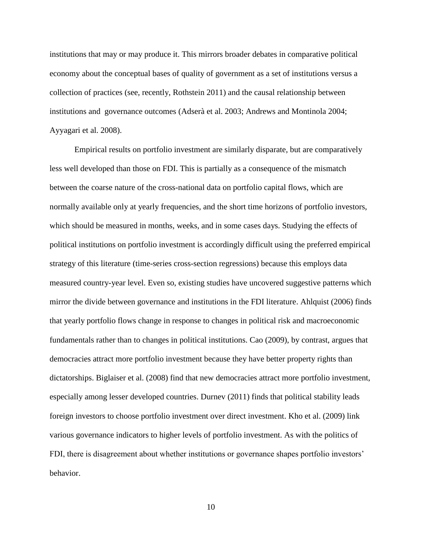institutions that may or may produce it. This mirrors broader debates in comparative political economy about the conceptual bases of quality of government as a set of institutions versus a collection of practices [\(see, recently, Rothstein 2011\)](#page-37-4) and the causal relationship between institutions and governance outcomes [\(Adserà et al. 2003;](#page-34-1) [Andrews and Montinola 2004;](#page-34-4) [Ayyagari et al. 2008\)](#page-34-5).

Empirical results on portfolio investment are similarly disparate, but are comparatively less well developed than those on FDI. This is partially as a consequence of the mismatch between the coarse nature of the cross-national data on portfolio capital flows, which are normally available only at yearly frequencies, and the short time horizons of portfolio investors, which should be measured in months, weeks, and in some cases days. Studying the effects of political institutions on portfolio investment is accordingly difficult using the preferred empirical strategy of this literature (time-series cross-section regressions) because this employs data measured country-year level. Even so, existing studies have uncovered suggestive patterns which mirror the divide between governance and institutions in the FDI literature. Ahlquist [\(2006\)](#page-34-6) finds that yearly portfolio flows change in response to changes in political risk and macroeconomic fundamentals rather than to changes in political institutions. Cao [\(2009\)](#page-34-0), by contrast, argues that democracies attract more portfolio investment because they have better property rights than dictatorships. Biglaiser et al. [\(2008\)](#page-34-7) find that new democracies attract more portfolio investment, especially among lesser developed countries. Durnev [\(2011\)](#page-35-5) finds that political stability leads foreign investors to choose portfolio investment over direct investment. Kho et al. [\(2009\)](#page-35-6) link various governance indicators to higher levels of portfolio investment. As with the politics of FDI, there is disagreement about whether institutions or governance shapes portfolio investors' behavior.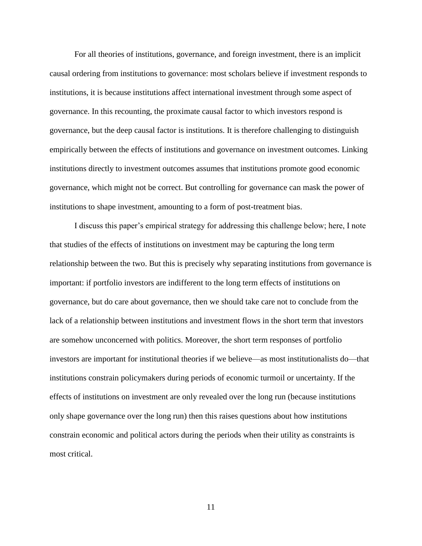For all theories of institutions, governance, and foreign investment, there is an implicit causal ordering from institutions to governance: most scholars believe if investment responds to institutions, it is because institutions affect international investment through some aspect of governance. In this recounting, the proximate causal factor to which investors respond is governance, but the deep causal factor is institutions. It is therefore challenging to distinguish empirically between the effects of institutions and governance on investment outcomes. Linking institutions directly to investment outcomes assumes that institutions promote good economic governance, which might not be correct. But controlling for governance can mask the power of institutions to shape investment, amounting to a form of post-treatment bias.

I discuss this paper's empirical strategy for addressing this challenge below; here, I note that studies of the effects of institutions on investment may be capturing the long term relationship between the two. But this is precisely why separating institutions from governance is important: if portfolio investors are indifferent to the long term effects of institutions on governance, but do care about governance, then we should take care not to conclude from the lack of a relationship between institutions and investment flows in the short term that investors are somehow unconcerned with politics. Moreover, the short term responses of portfolio investors are important for institutional theories if we believe—as most institutionalists do—that institutions constrain policymakers during periods of economic turmoil or uncertainty. If the effects of institutions on investment are only revealed over the long run (because institutions only shape governance over the long run) then this raises questions about how institutions constrain economic and political actors during the periods when their utility as constraints is most critical.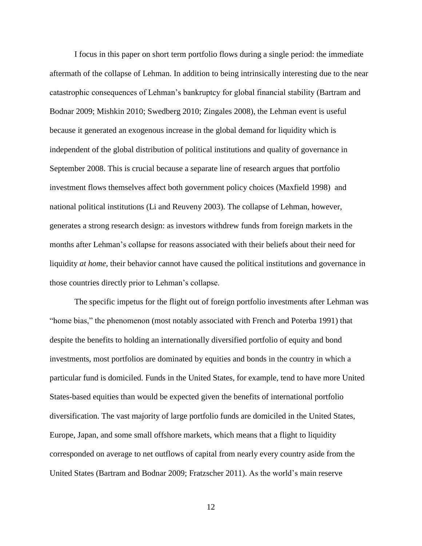I focus in this paper on short term portfolio flows during a single period: the immediate aftermath of the collapse of Lehman. In addition to being intrinsically interesting due to the near catastrophic consequences of Lehman's bankruptcy for global financial stability [\(Bartram and](#page-34-8)  [Bodnar 2009;](#page-34-8) [Mishkin 2010;](#page-37-5) [Swedberg 2010;](#page-37-6) [Zingales 2008\)](#page-38-1), the Lehman event is useful because it generated an exogenous increase in the global demand for liquidity which is independent of the global distribution of political institutions and quality of governance in September 2008. This is crucial because a separate line of research argues that portfolio investment flows themselves affect both government policy choices [\(Maxfield 1998\)](#page-36-5) and national political institutions [\(Li and Reuveny 2003\)](#page-36-0). The collapse of Lehman, however, generates a strong research design: as investors withdrew funds from foreign markets in the months after Lehman's collapse for reasons associated with their beliefs about their need for liquidity *at home*, their behavior cannot have caused the political institutions and governance in those countries directly prior to Lehman's collapse.

The specific impetus for the flight out of foreign portfolio investments after Lehman was "home bias," the phenomenon [\(most notably associated with French and Poterba 1991\)](#page-35-7) that despite the benefits to holding an internationally diversified portfolio of equity and bond investments, most portfolios are dominated by equities and bonds in the country in which a particular fund is domiciled. Funds in the United States, for example, tend to have more United States-based equities than would be expected given the benefits of international portfolio diversification. The vast majority of large portfolio funds are domiciled in the United States, Europe, Japan, and some small offshore markets, which means that a flight to liquidity corresponded on average to net outflows of capital from nearly every country aside from the United States [\(Bartram and Bodnar 2009;](#page-34-8) [Fratzscher 2011\)](#page-35-8). As the world's main reserve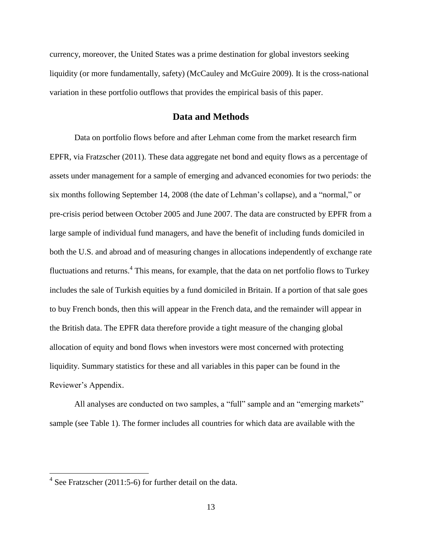currency, moreover, the United States was a prime destination for global investors seeking liquidity (or more fundamentally, safety) [\(McCauley and McGuire 2009\)](#page-36-6). It is the cross-national variation in these portfolio outflows that provides the empirical basis of this paper.

#### **Data and Methods**

Data on portfolio flows before and after Lehman come from the market research firm EPFR, via Fratzscher [\(2011\)](#page-35-8). These data aggregate net bond and equity flows as a percentage of assets under management for a sample of emerging and advanced economies for two periods: the six months following September 14, 2008 (the date of Lehman's collapse), and a "normal," or pre-crisis period between October 2005 and June 2007. The data are constructed by EPFR from a large sample of individual fund managers, and have the benefit of including funds domiciled in both the U.S. and abroad and of measuring changes in allocations independently of exchange rate fluctuations and returns.<sup>4</sup> This means, for example, that the data on net portfolio flows to Turkey includes the sale of Turkish equities by a fund domiciled in Britain. If a portion of that sale goes to buy French bonds, then this will appear in the French data, and the remainder will appear in the British data. The EPFR data therefore provide a tight measure of the changing global allocation of equity and bond flows when investors were most concerned with protecting liquidity. Summary statistics for these and all variables in this paper can be found in the Reviewer's Appendix.

All analyses are conducted on two samples, a "full" sample and an "emerging markets" sample (see [Table 1\)](#page-26-0). The former includes all countries for which data are available with the

 $\overline{a}$ 

 $4$  See Fratzscher [\(2011:5-6\)](#page-35-8) for further detail on the data.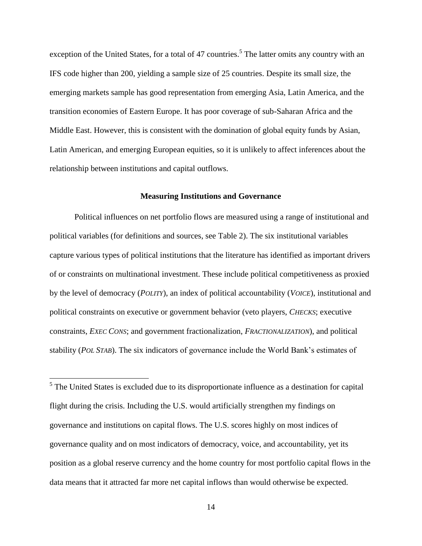exception of the United States, for a total of 47 countries.<sup>5</sup> The latter omits any country with an IFS code higher than 200, yielding a sample size of 25 countries. Despite its small size, the emerging markets sample has good representation from emerging Asia, Latin America, and the transition economies of Eastern Europe. It has poor coverage of sub-Saharan Africa and the Middle East. However, this is consistent with the domination of global equity funds by Asian, Latin American, and emerging European equities, so it is unlikely to affect inferences about the relationship between institutions and capital outflows.

#### <span id="page-13-0"></span>**Measuring Institutions and Governance**

Political influences on net portfolio flows are measured using a range of institutional and political variables (for definitions and sources, see [Table 2\)](#page-27-0). The six institutional variables capture various types of political institutions that the literature has identified as important drivers of or constraints on multinational investment. These include political competitiveness as proxied by the level of democracy (*POLITY*), an index of political accountability (*VOICE*), institutional and political constraints on executive or government behavior (veto players, *CHECKS*; executive constraints, *EXEC CONS*; and government fractionalization, *FRACTIONALIZATION*), and political stability (*POL STAB*). The six indicators of governance include the World Bank's estimates of

<sup>5</sup> The United States is excluded due to its disproportionate influence as a destination for capital flight during the crisis. Including the U.S. would artificially strengthen my findings on governance and institutions on capital flows. The U.S. scores highly on most indices of governance quality and on most indicators of democracy, voice, and accountability, yet its position as a global reserve currency and the home country for most portfolio capital flows in the data means that it attracted far more net capital inflows than would otherwise be expected.

 $\overline{a}$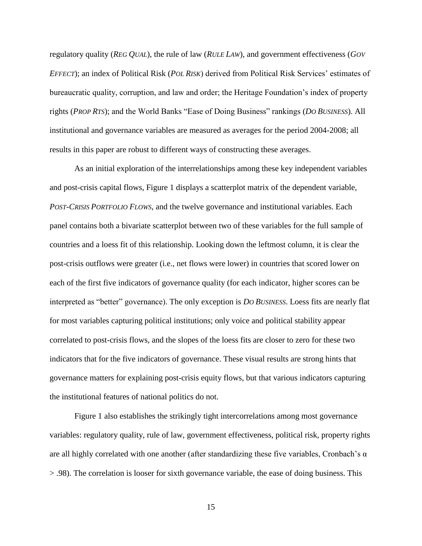regulatory quality (*REG QUAL*), the rule of law (*RULE LAW*), and government effectiveness (*GOV EFFECT*); an index of Political Risk (*POL RISK*) derived from Political Risk Services' estimates of bureaucratic quality, corruption, and law and order; the Heritage Foundation's index of property rights (*PROP RTS*); and the World Banks "Ease of Doing Business" rankings (*DO BUSINESS*). All institutional and governance variables are measured as averages for the period 2004-2008; all results in this paper are robust to different ways of constructing these averages.

As an initial exploration of the interrelationships among these key independent variables and post-crisis capital flows, [Figure 1](#page-30-0) displays a scatterplot matrix of the dependent variable, *POST-CRISIS PORTFOLIO FLOWS*, and the twelve governance and institutional variables. Each panel contains both a bivariate scatterplot between two of these variables for the full sample of countries and a loess fit of this relationship. Looking down the leftmost column, it is clear the post-crisis outflows were greater (i.e., net flows were lower) in countries that scored lower on each of the first five indicators of governance quality (for each indicator, higher scores can be interpreted as "better" governance). The only exception is *DO BUSINESS*. Loess fits are nearly flat for most variables capturing political institutions; only voice and political stability appear correlated to post-crisis flows, and the slopes of the loess fits are closer to zero for these two indicators that for the five indicators of governance. These visual results are strong hints that governance matters for explaining post-crisis equity flows, but that various indicators capturing the institutional features of national politics do not.

[Figure 1](#page-30-0) also establishes the strikingly tight intercorrelations among most governance variables: regulatory quality, rule of law, government effectiveness, political risk, property rights are all highly correlated with one another (after standardizing these five variables, Cronbach's  $\alpha$ > .98). The correlation is looser for sixth governance variable, the ease of doing business. This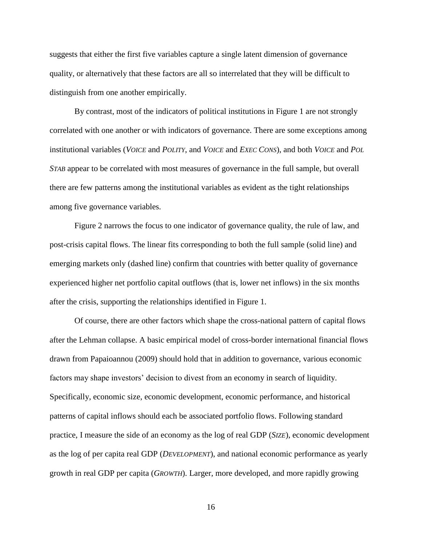suggests that either the first five variables capture a single latent dimension of governance quality, or alternatively that these factors are all so interrelated that they will be difficult to distinguish from one another empirically.

By contrast, most of the indicators of political institutions in [Figure 1](#page-30-0) are not strongly correlated with one another or with indicators of governance. There are some exceptions among institutional variables (*VOICE* and *POLITY*, and *VOICE* and *EXEC CONS*), and both *VOICE* and *POL STAB* appear to be correlated with most measures of governance in the full sample, but overall there are few patterns among the institutional variables as evident as the tight relationships among five governance variables.

[Figure 2](#page-31-0) narrows the focus to one indicator of governance quality, the rule of law, and post-crisis capital flows. The linear fits corresponding to both the full sample (solid line) and emerging markets only (dashed line) confirm that countries with better quality of governance experienced higher net portfolio capital outflows (that is, lower net inflows) in the six months after the crisis, supporting the relationships identified in [Figure 1.](#page-30-0)

Of course, there are other factors which shape the cross-national pattern of capital flows after the Lehman collapse. A basic empirical model of cross-border international financial flows drawn from Papaioannou [\(2009\)](#page-37-7) should hold that in addition to governance, various economic factors may shape investors' decision to divest from an economy in search of liquidity. Specifically, economic size, economic development, economic performance, and historical patterns of capital inflows should each be associated portfolio flows. Following standard practice, I measure the side of an economy as the log of real GDP (*SIZE*), economic development as the log of per capita real GDP (*DEVELOPMENT*), and national economic performance as yearly growth in real GDP per capita (*GROWTH*). Larger, more developed, and more rapidly growing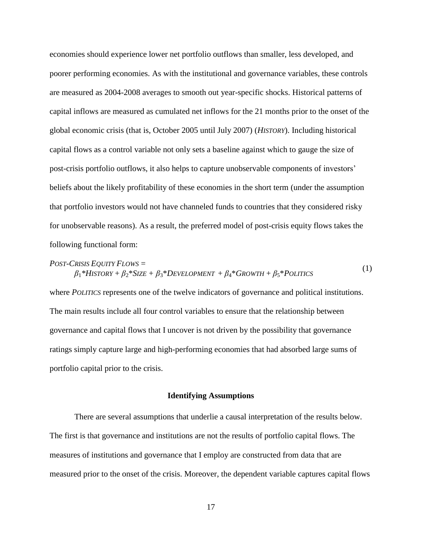economies should experience lower net portfolio outflows than smaller, less developed, and poorer performing economies. As with the institutional and governance variables, these controls are measured as 2004-2008 averages to smooth out year-specific shocks. Historical patterns of capital inflows are measured as cumulated net inflows for the 21 months prior to the onset of the global economic crisis (that is, October 2005 until July 2007) (*HISTORY*). Including historical capital flows as a control variable not only sets a baseline against which to gauge the size of post-crisis portfolio outflows, it also helps to capture unobservable components of investors' beliefs about the likely profitability of these economies in the short term (under the assumption that portfolio investors would not have channeled funds to countries that they considered risky for unobservable reasons). As a result, the preferred model of post-crisis equity flows takes the following functional form:

#### *POST-CRISIS EQUITY FLOWS =*  $\beta_1$ <sup>\*</sup>*H*ISTORY +  $\beta_2$ <sup>\*</sup>*SIZE* +  $\beta_3$ <sup>\*</sup>*DEVELOPMENT* +  $\beta_4$ <sup>\*</sup>*GROWTH* +  $\beta_5$ <sup>\*</sup>*POLITICS* (1)

where *POLITICS* represents one of the twelve indicators of governance and political institutions. The main results include all four control variables to ensure that the relationship between governance and capital flows that I uncover is not driven by the possibility that governance ratings simply capture large and high-performing economies that had absorbed large sums of portfolio capital prior to the crisis.

#### <span id="page-16-0"></span>**Identifying Assumptions**

There are several assumptions that underlie a causal interpretation of the results below. The first is that governance and institutions are not the results of portfolio capital flows. The measures of institutions and governance that I employ are constructed from data that are measured prior to the onset of the crisis. Moreover, the dependent variable captures capital flows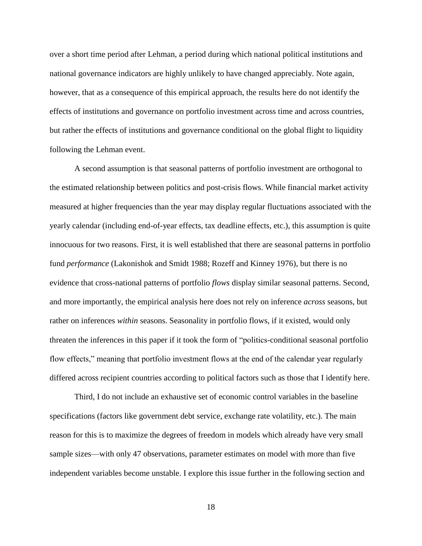over a short time period after Lehman, a period during which national political institutions and national governance indicators are highly unlikely to have changed appreciably. Note again, however, that as a consequence of this empirical approach, the results here do not identify the effects of institutions and governance on portfolio investment across time and across countries, but rather the effects of institutions and governance conditional on the global flight to liquidity following the Lehman event.

A second assumption is that seasonal patterns of portfolio investment are orthogonal to the estimated relationship between politics and post-crisis flows. While financial market activity measured at higher frequencies than the year may display regular fluctuations associated with the yearly calendar (including end-of-year effects, tax deadline effects, etc.), this assumption is quite innocuous for two reasons. First, it is well established that there are seasonal patterns in portfolio fund *performance* [\(Lakonishok and Smidt 1988;](#page-36-7) [Rozeff and Kinney 1976\)](#page-37-8), but there is no evidence that cross-national patterns of portfolio *flows* display similar seasonal patterns. Second, and more importantly, the empirical analysis here does not rely on inference *across* seasons, but rather on inferences *within* seasons. Seasonality in portfolio flows, if it existed, would only threaten the inferences in this paper if it took the form of "politics-conditional seasonal portfolio flow effects," meaning that portfolio investment flows at the end of the calendar year regularly differed across recipient countries according to political factors such as those that I identify here.

Third, I do not include an exhaustive set of economic control variables in the baseline specifications (factors like government debt service, exchange rate volatility, etc.). The main reason for this is to maximize the degrees of freedom in models which already have very small sample sizes—with only 47 observations, parameter estimates on model with more than five independent variables become unstable. I explore this issue further in the following section and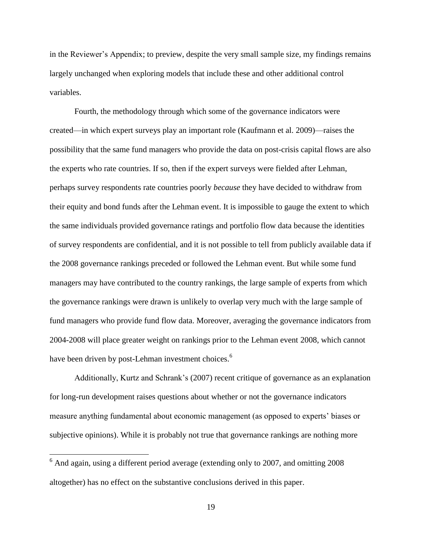in the Reviewer's Appendix; to preview, despite the very small sample size, my findings remains largely unchanged when exploring models that include these and other additional control variables.

Fourth, the methodology through which some of the governance indicators were created—in which expert surveys play an important role [\(Kaufmann et al. 2009\)](#page-35-0)—raises the possibility that the same fund managers who provide the data on post-crisis capital flows are also the experts who rate countries. If so, then if the expert surveys were fielded after Lehman, perhaps survey respondents rate countries poorly *because* they have decided to withdraw from their equity and bond funds after the Lehman event. It is impossible to gauge the extent to which the same individuals provided governance ratings and portfolio flow data because the identities of survey respondents are confidential, and it is not possible to tell from publicly available data if the 2008 governance rankings preceded or followed the Lehman event. But while some fund managers may have contributed to the country rankings, the large sample of experts from which the governance rankings were drawn is unlikely to overlap very much with the large sample of fund managers who provide fund flow data. Moreover, averaging the governance indicators from 2004-2008 will place greater weight on rankings prior to the Lehman event 2008, which cannot have been driven by post-Lehman investment choices.<sup>6</sup>

Additionally, Kurtz and Schrank's [\(2007\)](#page-36-3) recent critique of governance as an explanation for long-run development raises questions about whether or not the governance indicators measure anything fundamental about economic management (as opposed to experts' biases or subjective opinions). While it is probably not true that governance rankings are nothing more

 $\overline{a}$ 

 $6$  And again, using a different period average (extending only to 2007, and omitting 2008) altogether) has no effect on the substantive conclusions derived in this paper.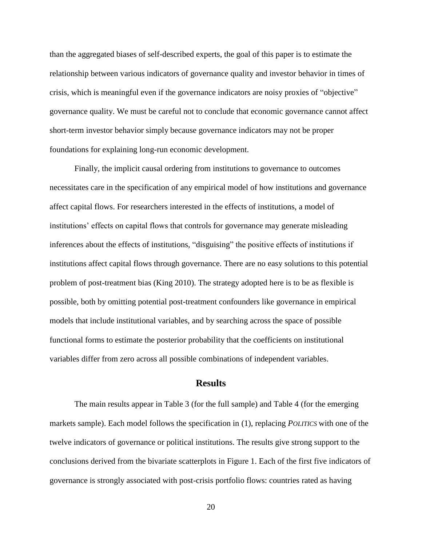than the aggregated biases of self-described experts, the goal of this paper is to estimate the relationship between various indicators of governance quality and investor behavior in times of crisis, which is meaningful even if the governance indicators are noisy proxies of "objective" governance quality. We must be careful not to conclude that economic governance cannot affect short-term investor behavior simply because governance indicators may not be proper foundations for explaining long-run economic development.

Finally, the implicit causal ordering from institutions to governance to outcomes necessitates care in the specification of any empirical model of how institutions and governance affect capital flows. For researchers interested in the effects of institutions, a model of institutions' effects on capital flows that controls for governance may generate misleading inferences about the effects of institutions, "disguising" the positive effects of institutions if institutions affect capital flows through governance. There are no easy solutions to this potential problem of post-treatment bias [\(King 2010\)](#page-36-8). The strategy adopted here is to be as flexible is possible, both by omitting potential post-treatment confounders like governance in empirical models that include institutional variables, and by searching across the space of possible functional forms to estimate the posterior probability that the coefficients on institutional variables differ from zero across all possible combinations of independent variables.

#### **Results**

The main results appear in [Table 3](#page-28-0) (for the full sample) and [Table 4](#page-29-0) (for the emerging markets sample). Each model follows the specification in [\(1\),](#page-16-0) replacing *POLITICS* with one of the twelve indicators of governance or political institutions. The results give strong support to the conclusions derived from the bivariate scatterplots in [Figure 1.](#page-30-0) Each of the first five indicators of governance is strongly associated with post-crisis portfolio flows: countries rated as having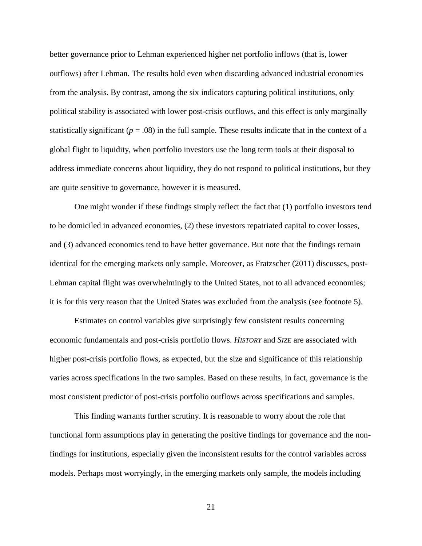better governance prior to Lehman experienced higher net portfolio inflows (that is, lower outflows) after Lehman. The results hold even when discarding advanced industrial economies from the analysis. By contrast, among the six indicators capturing political institutions, only political stability is associated with lower post-crisis outflows, and this effect is only marginally statistically significant ( $p = .08$ ) in the full sample. These results indicate that in the context of a global flight to liquidity, when portfolio investors use the long term tools at their disposal to address immediate concerns about liquidity, they do not respond to political institutions, but they are quite sensitive to governance, however it is measured.

One might wonder if these findings simply reflect the fact that (1) portfolio investors tend to be domiciled in advanced economies, (2) these investors repatriated capital to cover losses, and (3) advanced economies tend to have better governance. But note that the findings remain identical for the emerging markets only sample. Moreover, as Fratzscher [\(2011\)](#page-35-8) discusses, post-Lehman capital flight was overwhelmingly to the United States, not to all advanced economies; it is for this very reason that the United States was excluded from the analysis (see footnote [5\)](#page-13-0).

Estimates on control variables give surprisingly few consistent results concerning economic fundamentals and post-crisis portfolio flows. *HISTORY* and *SIZE* are associated with higher post-crisis portfolio flows, as expected, but the size and significance of this relationship varies across specifications in the two samples. Based on these results, in fact, governance is the most consistent predictor of post-crisis portfolio outflows across specifications and samples.

This finding warrants further scrutiny. It is reasonable to worry about the role that functional form assumptions play in generating the positive findings for governance and the nonfindings for institutions, especially given the inconsistent results for the control variables across models. Perhaps most worryingly, in the emerging markets only sample, the models including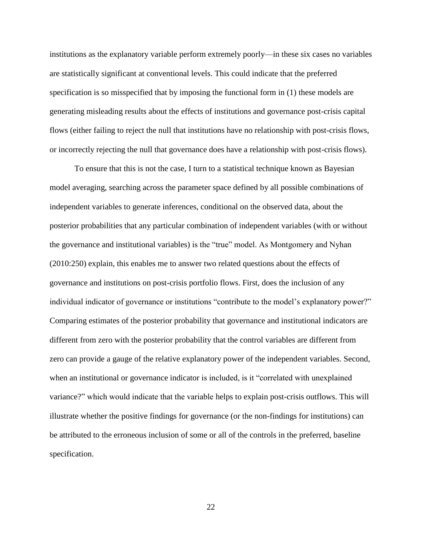institutions as the explanatory variable perform extremely poorly—in these six cases no variables are statistically significant at conventional levels. This could indicate that the preferred specification is so misspecified that by imposing the functional form in [\(1\)](#page-16-0) these models are generating misleading results about the effects of institutions and governance post-crisis capital flows (either failing to reject the null that institutions have no relationship with post-crisis flows, or incorrectly rejecting the null that governance does have a relationship with post-crisis flows).

To ensure that this is not the case, I turn to a statistical technique known as Bayesian model averaging, searching across the parameter space defined by all possible combinations of independent variables to generate inferences, conditional on the observed data, about the posterior probabilities that any particular combination of independent variables (with or without the governance and institutional variables) is the "true" model. As Montgomery and Nyhan [\(2010:250\)](#page-37-9) explain, this enables me to answer two related questions about the effects of governance and institutions on post-crisis portfolio flows. First, does the inclusion of any individual indicator of governance or institutions "contribute to the model's explanatory power?" Comparing estimates of the posterior probability that governance and institutional indicators are different from zero with the posterior probability that the control variables are different from zero can provide a gauge of the relative explanatory power of the independent variables. Second, when an institutional or governance indicator is included, is it "correlated with unexplained variance?" which would indicate that the variable helps to explain post-crisis outflows. This will illustrate whether the positive findings for governance (or the non-findings for institutions) can be attributed to the erroneous inclusion of some or all of the controls in the preferred, baseline specification.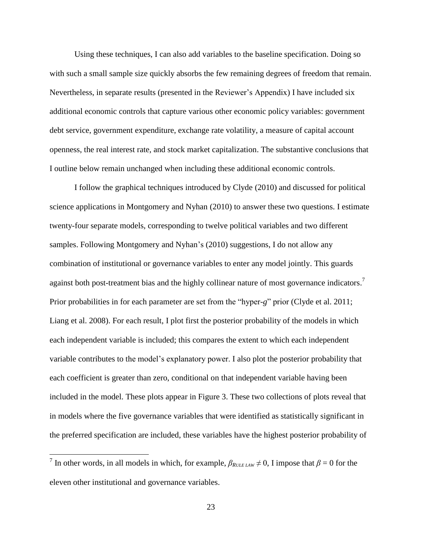Using these techniques, I can also add variables to the baseline specification. Doing so with such a small sample size quickly absorbs the few remaining degrees of freedom that remain. Nevertheless, in separate results (presented in the Reviewer's Appendix) I have included six additional economic controls that capture various other economic policy variables: government debt service, government expenditure, exchange rate volatility, a measure of capital account openness, the real interest rate, and stock market capitalization. The substantive conclusions that I outline below remain unchanged when including these additional economic controls.

I follow the graphical techniques introduced by Clyde [\(2010\)](#page-34-9) and discussed for political science applications in Montgomery and Nyhan [\(2010\)](#page-37-9) to answer these two questions. I estimate twenty-four separate models, corresponding to twelve political variables and two different samples. Following Montgomery and Nyhan's [\(2010\)](#page-37-9) suggestions, I do not allow any combination of institutional or governance variables to enter any model jointly. This guards against both post-treatment bias and the highly collinear nature of most governance indicators.<sup>7</sup> Prior probabilities in for each parameter are set from the "hyper-*g*" prior [\(Clyde et al. 2011;](#page-35-9) [Liang et al. 2008\)](#page-36-9). For each result, I plot first the posterior probability of the models in which each independent variable is included; this compares the extent to which each independent variable contributes to the model's explanatory power. I also plot the posterior probability that each coefficient is greater than zero, conditional on that independent variable having been included in the model. These plots appear in [Figure 3.](#page-32-0) These two collections of plots reveal that in models where the five governance variables that were identified as statistically significant in the preferred specification are included, these variables have the highest posterior probability of

<sup>&</sup>lt;sup>7</sup> In other words, in all models in which, for example,  $\beta_{RULELAW} \neq 0$ , I impose that  $\beta = 0$  for the eleven other institutional and governance variables.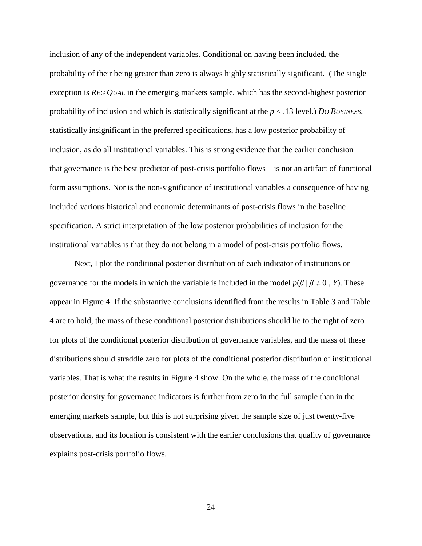inclusion of any of the independent variables. Conditional on having been included, the probability of their being greater than zero is always highly statistically significant. (The single exception is *REG QUAL* in the emerging markets sample, which has the second-highest posterior probability of inclusion and which is statistically significant at the *p* < .13 level.) *DO BUSINESS*, statistically insignificant in the preferred specifications, has a low posterior probability of inclusion, as do all institutional variables. This is strong evidence that the earlier conclusion that governance is the best predictor of post-crisis portfolio flows—is not an artifact of functional form assumptions. Nor is the non-significance of institutional variables a consequence of having included various historical and economic determinants of post-crisis flows in the baseline specification. A strict interpretation of the low posterior probabilities of inclusion for the institutional variables is that they do not belong in a model of post-crisis portfolio flows.

Next, I plot the conditional posterior distribution of each indicator of institutions or governance for the models in which the variable is included in the model  $p(\beta | \beta \neq 0, Y)$ . These appear in [Figure 4.](#page-33-0) If the substantive conclusions identified from the results in [Table 3](#page-28-0) and [Table](#page-29-0)  [4](#page-29-0) are to hold, the mass of these conditional posterior distributions should lie to the right of zero for plots of the conditional posterior distribution of governance variables, and the mass of these distributions should straddle zero for plots of the conditional posterior distribution of institutional variables. That is what the results in [Figure 4](#page-33-0) show. On the whole, the mass of the conditional posterior density for governance indicators is further from zero in the full sample than in the emerging markets sample, but this is not surprising given the sample size of just twenty-five observations, and its location is consistent with the earlier conclusions that quality of governance explains post-crisis portfolio flows.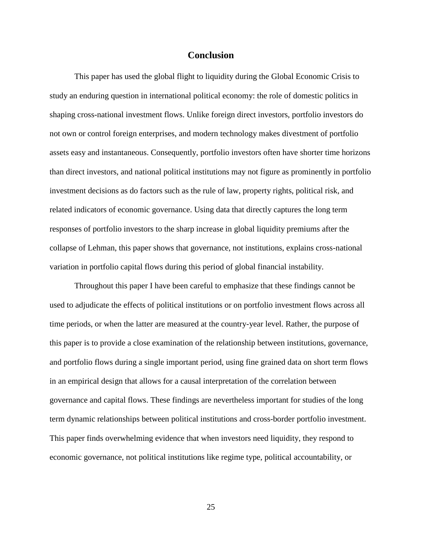#### **Conclusion**

This paper has used the global flight to liquidity during the Global Economic Crisis to study an enduring question in international political economy: the role of domestic politics in shaping cross-national investment flows. Unlike foreign direct investors, portfolio investors do not own or control foreign enterprises, and modern technology makes divestment of portfolio assets easy and instantaneous. Consequently, portfolio investors often have shorter time horizons than direct investors, and national political institutions may not figure as prominently in portfolio investment decisions as do factors such as the rule of law, property rights, political risk, and related indicators of economic governance. Using data that directly captures the long term responses of portfolio investors to the sharp increase in global liquidity premiums after the collapse of Lehman, this paper shows that governance, not institutions, explains cross-national variation in portfolio capital flows during this period of global financial instability.

Throughout this paper I have been careful to emphasize that these findings cannot be used to adjudicate the effects of political institutions or on portfolio investment flows across all time periods, or when the latter are measured at the country-year level. Rather, the purpose of this paper is to provide a close examination of the relationship between institutions, governance, and portfolio flows during a single important period, using fine grained data on short term flows in an empirical design that allows for a causal interpretation of the correlation between governance and capital flows. These findings are nevertheless important for studies of the long term dynamic relationships between political institutions and cross-border portfolio investment. This paper finds overwhelming evidence that when investors need liquidity, they respond to economic governance, not political institutions like regime type, political accountability, or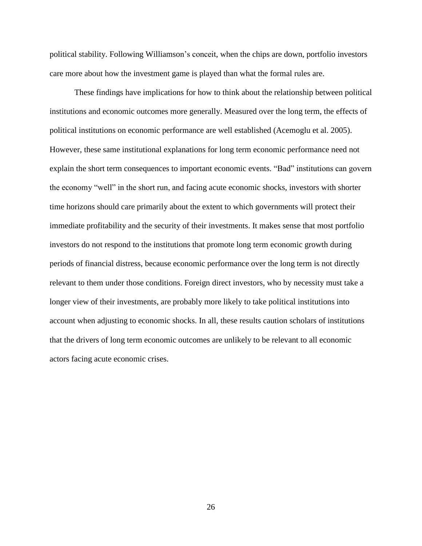political stability. Following Williamson's conceit, when the chips are down, portfolio investors care more about how the investment game is played than what the formal rules are.

These findings have implications for how to think about the relationship between political institutions and economic outcomes more generally. Measured over the long term, the effects of political institutions on economic performance are well established [\(Acemoglu et al. 2005\)](#page-34-10). However, these same institutional explanations for long term economic performance need not explain the short term consequences to important economic events. "Bad" institutions can govern the economy "well" in the short run, and facing acute economic shocks, investors with shorter time horizons should care primarily about the extent to which governments will protect their immediate profitability and the security of their investments. It makes sense that most portfolio investors do not respond to the institutions that promote long term economic growth during periods of financial distress, because economic performance over the long term is not directly relevant to them under those conditions. Foreign direct investors, who by necessity must take a longer view of their investments, are probably more likely to take political institutions into account when adjusting to economic shocks. In all, these results caution scholars of institutions that the drivers of long term economic outcomes are unlikely to be relevant to all economic actors facing acute economic crises.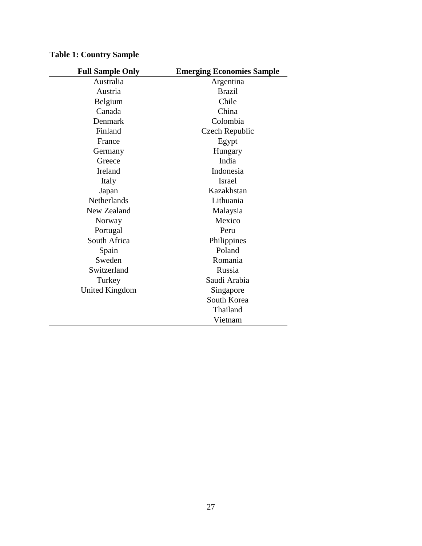| <b>Full Sample Only</b> | <b>Emerging Economies Sample</b> |
|-------------------------|----------------------------------|
| Australia               | Argentina                        |
| Austria                 | <b>Brazil</b>                    |
| Belgium                 | Chile                            |
| Canada                  | China                            |
| Denmark                 | Colombia                         |
| Finland                 | Czech Republic                   |
| France                  | Egypt                            |
| Germany                 | Hungary                          |
| Greece                  | India                            |
| Ireland                 | Indonesia                        |
| Italy                   | <b>Israel</b>                    |
| Japan                   | Kazakhstan                       |
| <b>Netherlands</b>      | Lithuania                        |
| New Zealand             | Malaysia                         |
| Norway                  | Mexico                           |
| Portugal                | Peru                             |
| South Africa            | Philippines                      |
| Spain                   | Poland                           |
| Sweden                  | Romania                          |
| Switzerland             | Russia                           |
| Turkey                  | Saudi Arabia                     |
| United Kingdom          | Singapore                        |
|                         | South Korea                      |
|                         | Thailand                         |
|                         | Vietnam                          |

<span id="page-26-0"></span>**Table 1: Country Sample**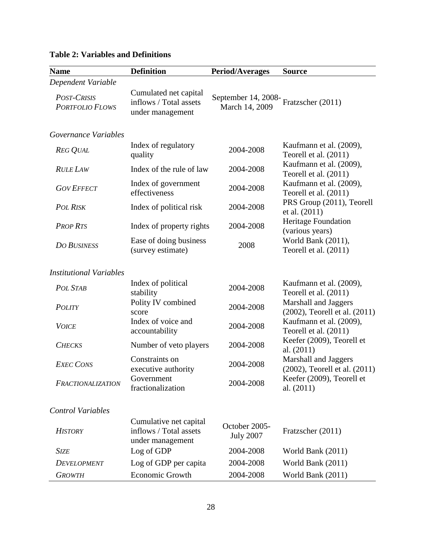| <b>Name</b>                           | <b>Definition</b>                                                    | <b>Period/Averages</b>                | <b>Source</b>                                         |  |  |  |  |
|---------------------------------------|----------------------------------------------------------------------|---------------------------------------|-------------------------------------------------------|--|--|--|--|
| Dependent Variable                    |                                                                      |                                       |                                                       |  |  |  |  |
| POST-CRISIS<br><b>PORTFOLIO FLOWS</b> | Cumulated net capital<br>inflows / Total assets<br>under management  | September 14, 2008-<br>March 14, 2009 | Fratzscher (2011)                                     |  |  |  |  |
| Governance Variables                  |                                                                      |                                       |                                                       |  |  |  |  |
| <b>REG QUAL</b>                       | Index of regulatory<br>quality                                       | 2004-2008                             | Kaufmann et al. (2009),<br>Teorell et al. $(2011)$    |  |  |  |  |
| <b>RULE LAW</b>                       | Index of the rule of law                                             | 2004-2008                             | Kaufmann et al. (2009),<br>Teorell et al. (2011)      |  |  |  |  |
| <b>GOV EFFECT</b>                     | Index of government<br>effectiveness                                 | 2004-2008                             | Kaufmann et al. (2009),<br>Teorell et al. $(2011)$    |  |  |  |  |
| <b>POL RISK</b>                       | Index of political risk                                              | 2004-2008                             | PRS Group (2011), Teorell<br>et al. (2011)            |  |  |  |  |
| <b>PROP RTS</b>                       | Index of property rights                                             | 2004-2008                             | Heritage Foundation<br>(various years)                |  |  |  |  |
| <b>DO BUSINESS</b>                    | Ease of doing business<br>(survey estimate)                          | 2008                                  | World Bank (2011),<br>Teorell et al. (2011)           |  |  |  |  |
| <b>Institutional Variables</b>        |                                                                      |                                       |                                                       |  |  |  |  |
| <b>POL STAB</b>                       | Index of political<br>stability                                      | 2004-2008                             | Kaufmann et al. (2009),<br>Teorell et al. (2011)      |  |  |  |  |
| <b>POLITY</b>                         | Polity IV combined<br>score                                          | 2004-2008                             | Marshall and Jaggers<br>(2002), Teorell et al. (2011) |  |  |  |  |
| <b>VOICE</b>                          | Index of voice and<br>accountability                                 | 2004-2008                             | Kaufmann et al. (2009),<br>Teorell et al. $(2011)$    |  |  |  |  |
| <b>CHECKS</b>                         | Number of veto players                                               | 2004-2008                             | Keefer (2009), Teorell et<br>al. $(2011)$             |  |  |  |  |
| <b>EXEC CONS</b>                      | Constraints on<br>executive authority                                | 2004-2008                             | Marshall and Jaggers<br>(2002), Teorell et al. (2011) |  |  |  |  |
| <b>FRACTIONALIZATION</b>              | Government<br>fractionalization                                      | 2004-2008                             | Keefer (2009), Teorell et<br>al. $(2011)$             |  |  |  |  |
| <b>Control Variables</b>              |                                                                      |                                       |                                                       |  |  |  |  |
| <b>HISTORY</b>                        | Cumulative net capital<br>inflows / Total assets<br>under management | October 2005-<br><b>July 2007</b>     | Fratzscher (2011)                                     |  |  |  |  |
| <b>SIZE</b>                           | Log of GDP                                                           | 2004-2008                             | World Bank (2011)                                     |  |  |  |  |
| <b>DEVELOPMENT</b>                    | Log of GDP per capita                                                | 2004-2008                             | World Bank (2011)                                     |  |  |  |  |
| <b>GROWTH</b>                         | Economic Growth                                                      | 2004-2008                             | World Bank (2011)                                     |  |  |  |  |

# <span id="page-27-1"></span><span id="page-27-0"></span>**Table 2: Variables and Definitions**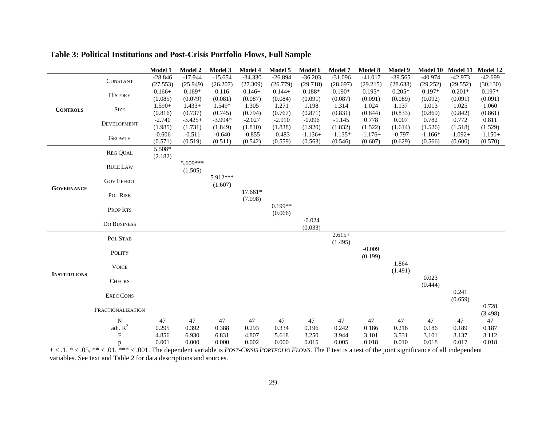<span id="page-28-0"></span>

|                     |                         | Model 1   | <b>Model 2</b> | <b>Model 3</b> | Model 4        | Model 5        | Model 6   | Model 7   | Model 8   | Model 9        | <b>Model 10</b> | Model 11       | Model 12      |
|---------------------|-------------------------|-----------|----------------|----------------|----------------|----------------|-----------|-----------|-----------|----------------|-----------------|----------------|---------------|
| <b>CONTROLS</b>     | CONSTANT                | $-28.846$ | $-17.944$      | $-15.654$      | $-34.330$      | $-26.894$      | $-36.203$ | $-31.096$ | $-41.017$ | $-39.565$      | $-40.974$       | $-42.973$      | $-42.699$     |
|                     |                         | (27.553)  | (25.949)       | (26.207)       | (27.309)       | (26.779)       | (29.718)  | (28.697)  | (29.215)  | (28.638)       | (29.252)        | (29.552)       | (30.130)      |
|                     | <b>HISTORY</b>          | $0.166+$  | $0.169*$       | 0.116          | $0.146+$       | $0.144+$       | 0.188*    | $0.190*$  | $0.195*$  | $0.205*$       | $0.197*$        | $0.201*$       | $0.197*$      |
|                     |                         | (0.085)   | (0.079)        | (0.081)        | (0.087)        | (0.084)        | (0.091)   | (0.087)   | (0.091)   | (0.089)        | (0.092)         | (0.091)        | (0.091)       |
|                     | ${\rm Size}$            | $1.590+$  | $1.433+$       | 1.549*         | 1.305          | 1.271          | 1.198     | 1.314     | 1.024     | 1.137          | 1.013           | 1.025          | 1.060         |
|                     |                         | (0.816)   | (0.737)        | (0.745)        | (0.794)        | (0.767)        | (0.871)   | (0.831)   | (0.844)   | (0.833)        | (0.869)         | (0.842)        | (0.861)       |
|                     | DEVELOPMENT             | $-2.740$  | $-3.425+$      | $-3.994*$      | $-2.027$       | $-2.910$       | $-0.096$  | $-1.145$  | 0.778     | 0.007          | 0.782           | 0.772          | 0.811         |
|                     |                         | (1.985)   | (1.731)        | (1.849)        | (1.810)        | (1.838)        | (1.920)   | (1.832)   | (1.522)   | (1.614)        | (1.526)         | (1.518)        | (1.529)       |
|                     | <b>GROWTH</b>           | $-0.606$  | $-0.511$       | $-0.640$       | $-0.855$       | $-0.483$       | $-1.136+$ | $-1.135*$ | $-1.176+$ | $-0.797$       | $-1.166*$       | $-1.092+$      | $-1.150+$     |
|                     |                         | (0.571)   | (0.519)        | (0.511)        | (0.542)        | (0.559)        | (0.563)   | (0.546)   | (0.607)   | (0.629)        | (0.566)         | (0.600)        | (0.570)       |
|                     | <b>REG QUAL</b>         | 5.508*    |                |                |                |                |           |           |           |                |                 |                |               |
|                     |                         | (2.182)   |                |                |                |                |           |           |           |                |                 |                |               |
|                     | <b>RULE LAW</b>         |           | 5.609***       |                |                |                |           |           |           |                |                 |                |               |
|                     |                         |           | (1.505)        |                |                |                |           |           |           |                |                 |                |               |
|                     | <b>GOV EFFECT</b>       |           |                | 5.912***       |                |                |           |           |           |                |                 |                |               |
| <b>GOVERNANCE</b>   |                         |           |                | (1.607)        |                |                |           |           |           |                |                 |                |               |
|                     | POL RISK                |           |                |                | $17.661*$      |                |           |           |           |                |                 |                |               |
|                     |                         |           |                |                | (7.098)        |                |           |           |           |                |                 |                |               |
|                     | PROP RTS                |           |                |                |                | $0.199**$      |           |           |           |                |                 |                |               |
|                     |                         |           |                |                |                | (0.066)        |           |           |           |                |                 |                |               |
|                     | DO BUSINESS             |           |                |                |                |                | $-0.024$  |           |           |                |                 |                |               |
|                     |                         |           |                |                |                |                | (0.033)   |           |           |                |                 |                |               |
|                     | POL STAB                |           |                |                |                |                |           | $2.615+$  |           |                |                 |                |               |
|                     |                         |           |                |                |                |                |           | (1.495)   |           |                |                 |                |               |
|                     | POLITY                  |           |                |                |                |                |           |           | $-0.009$  |                |                 |                |               |
|                     |                         |           |                |                |                |                |           |           | (0.199)   |                |                 |                |               |
|                     | <b>VOICE</b>            |           |                |                |                |                |           |           |           | 1.864          |                 |                |               |
| <b>INSTITUTIONS</b> |                         |           |                |                |                |                |           |           |           | (1.491)        |                 |                |               |
|                     | <b>CHECKS</b>           |           |                |                |                |                |           |           |           |                | 0.023           |                |               |
|                     |                         |           |                |                |                |                |           |           |           |                | (0.444)         |                |               |
|                     | <b>EXEC CONS</b>        |           |                |                |                |                |           |           |           |                |                 | 0.241          |               |
|                     |                         |           |                |                |                |                |           |           |           |                |                 | (0.659)        |               |
|                     | FRACTIONALIZATION       |           |                |                |                |                |           |           |           |                |                 |                | 0.728         |
|                     | N                       | 47        | 47             | 47             | 47             | 47             | 47        | 47        | 47        | 47             | 47              | 47             | (3.498)<br>47 |
|                     |                         | 0.295     | 0.392          |                |                |                | 0.196     | 0.242     | 0.186     |                |                 |                | 0.187         |
|                     | adj. $R^2$<br>${\bf F}$ | 4.856     | 6.930          | 0.388<br>6.831 | 0.293<br>4.807 | 0.334<br>5.618 | 3.250     | 3.944     | 3.101     | 0.216<br>3.531 | 0.186<br>3.101  | 0.189<br>3.137 | 3.112         |
|                     |                         | 0.001     | 0.000          | 0.000          | 0.002          | 0.000          | 0.015     | 0.005     | 0.018     | 0.010          | 0.018           | 0.017          | 0.018         |
|                     | p                       |           |                |                |                |                |           |           |           |                |                 |                |               |

## **Table 3: Political Institutions and Post-Crisis Portfolio Flows, Full Sample**

+ < .1, \* < .05, \*\* < .01, \*\*\* < .001. The dependent variable is *POST-CRISIS PORTFOLIO FLOWS*. The F test is a test of the joint significance of all independent variables. See text and [Table 2](#page-27-1) for data descriptions and sources.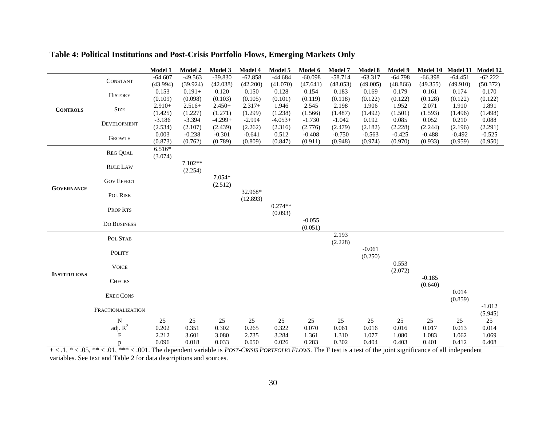<span id="page-29-0"></span>

|                     |                   | Model 1   | <b>Model 2</b> | Model 3   | Model 4   | Model 5   | Model 6   | Model 7   | Model 8   | Model 9   | <b>Model 10</b> | <b>Model 11</b> | Model 12  |
|---------------------|-------------------|-----------|----------------|-----------|-----------|-----------|-----------|-----------|-----------|-----------|-----------------|-----------------|-----------|
| <b>CONTROLS</b>     | <b>CONSTANT</b>   | $-64.607$ | $-49.563$      | $-39.830$ | $-62.858$ | $-44.684$ | $-60.098$ | $-58.714$ | $-63.317$ | $-64.798$ | $-66.398$       | $-64.451$       | $-62.222$ |
|                     |                   | (43.994)  | (39.924)       | (42.038)  | (42.200)  | (41.070)  | (47.641)  | (48.053)  | (49.005)  | (48.866)  | (49.355)        | (49.910)        | (50.372)  |
|                     | <b>HISTORY</b>    | 0.153     | $0.191 +$      | 0.120     | 0.150     | 0.128     | 0.154     | 0.183     | 0.169     | 0.179     | 0.161           | 0.174           | 0.170     |
|                     |                   | (0.109)   | (0.098)        | (0.103)   | (0.105)   | (0.101)   | (0.119)   | (0.118)   | (0.122)   | (0.122)   | (0.128)         | (0.122)         | (0.122)   |
|                     | <b>SIZE</b>       | $2.910+$  | $2.516+$       | $2.450+$  | $2.317+$  | 1.946     | 2.545     | 2.198     | 1.906     | 1.952     | 2.071           | 1.910           | 1.891     |
|                     |                   | (1.425)   | (1.227)        | (1.271)   | (1.299)   | (1.238)   | (1.566)   | (1.487)   | (1.492)   | (1.501)   | (1.593)         | (1.496)         | (1.498)   |
|                     | DEVELOPMENT       | $-3.186$  | $-3.394$       | $-4.299+$ | $-2.994$  | $-4.053+$ | $-1.730$  | $-1.042$  | 0.192     | 0.085     | 0.052           | 0.210           | 0.088     |
|                     |                   | (2.534)   | (2.107)        | (2.439)   | (2.262)   | (2.316)   | (2.776)   | (2.479)   | (2.182)   | (2.228)   | (2.244)         | (2.196)         | (2.291)   |
|                     | <b>GROWTH</b>     | 0.003     | $-0.238$       | $-0.301$  | $-0.641$  | 0.512     | $-0.408$  | $-0.750$  | $-0.563$  | $-0.425$  | $-0.488$        | $-0.492$        | $-0.525$  |
|                     |                   | (0.873)   | (0.762)        | (0.789)   | (0.809)   | (0.847)   | (0.911)   | (0.948)   | (0.974)   | (0.970)   | (0.933)         | (0.959)         | (0.950)   |
|                     | <b>REG QUAL</b>   | 6.516*    |                |           |           |           |           |           |           |           |                 |                 |           |
|                     |                   | (3.074)   |                |           |           |           |           |           |           |           |                 |                 |           |
|                     | <b>RULE LAW</b>   |           | 7.102**        |           |           |           |           |           |           |           |                 |                 |           |
|                     |                   |           | (2.254)        |           |           |           |           |           |           |           |                 |                 |           |
|                     | <b>GOV EFFECT</b> |           |                | $7.054*$  |           |           |           |           |           |           |                 |                 |           |
| <b>GOVERNANCE</b>   |                   |           |                | (2.512)   |           |           |           |           |           |           |                 |                 |           |
|                     | POL RISK          |           |                |           | 32.968*   |           |           |           |           |           |                 |                 |           |
|                     |                   |           |                |           | (12.893)  | $0.274**$ |           |           |           |           |                 |                 |           |
|                     | PROP RTS          |           |                |           |           | (0.093)   |           |           |           |           |                 |                 |           |
|                     |                   |           |                |           |           |           | $-0.055$  |           |           |           |                 |                 |           |
|                     | DO BUSINESS       |           |                |           |           |           | (0.051)   |           |           |           |                 |                 |           |
|                     |                   |           |                |           |           |           |           | 2.193     |           |           |                 |                 |           |
|                     | POL STAB          |           |                |           |           |           |           | (2.228)   |           |           |                 |                 |           |
|                     |                   |           |                |           |           |           |           |           | $-0.061$  |           |                 |                 |           |
|                     | POLITY            |           |                |           |           |           |           |           | (0.250)   |           |                 |                 |           |
|                     | <b>VOICE</b>      |           |                |           |           |           |           |           |           | 0.553     |                 |                 |           |
|                     |                   |           |                |           |           |           |           |           |           | (2.072)   |                 |                 |           |
| <b>INSTITUTIONS</b> | <b>CHECKS</b>     |           |                |           |           |           |           |           |           |           | $-0.185$        |                 |           |
|                     |                   |           |                |           |           |           |           |           |           |           | (0.640)         |                 |           |
|                     | <b>EXEC CONS</b>  |           |                |           |           |           |           |           |           |           |                 | 0.014           |           |
|                     |                   |           |                |           |           |           |           |           |           |           |                 | (0.859)         |           |
|                     | FRACTIONALIZATION |           |                |           |           |           |           |           |           |           |                 |                 | $-1.012$  |
|                     |                   |           |                |           |           |           |           |           |           |           |                 |                 | (5.945)   |
|                     | N                 | 25        | 25             | 25        | 25        | 25        | 25        | 25        | 25        | 25        | 25              | 25              | 25        |
|                     | adj. $R^2$        | 0.202     | 0.351          | 0.302     | 0.265     | 0.322     | 0.070     | 0.061     | 0.016     | 0.016     | 0.017           | 0.013           | 0.014     |
|                     | $\mathbf F$       | 2.212     | 3.601          | 3.080     | 2.735     | 3.284     | 1.361     | 1.310     | 1.077     | 1.080     | 1.083           | 1.062           | 1.069     |
|                     | p                 | 0.096     | 0.018          | 0.033     | 0.050     | 0.026     | 0.283     | 0.302     | 0.404     | 0.403     | 0.401           | 0.412           | 0.408     |

## **Table 4: Political Institutions and Post-Crisis Portfolio Flows, Emerging Markets Only**

+ < .1, \* < .05, \*\* < .01, \*\*\* < .001. The dependent variable is *POST-CRISIS PORTFOLIO FLOWS*. The F test is a test of the joint significance of all independent variables. See text and [Table 2](#page-27-1) for data descriptions and sources.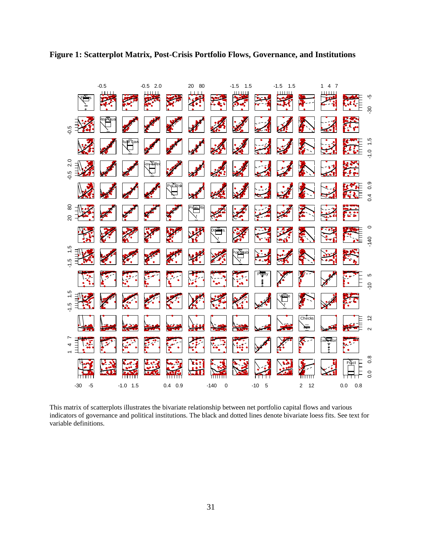<span id="page-30-0"></span>



This matrix of scatterplots illustrates the bivariate relationship between net portfolio capital flows and various indicators of governance and political institutions. The black and dotted lines denote bivariate loess fits. See text for variable definitions.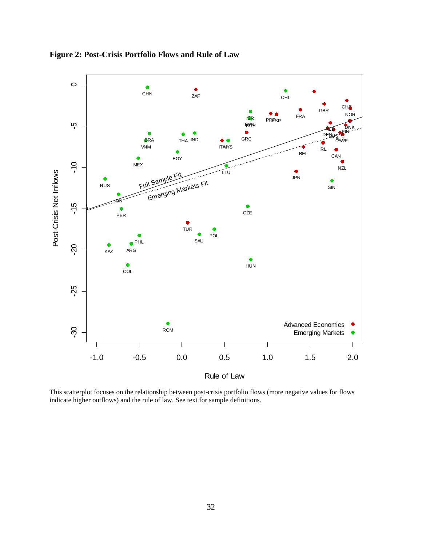

<span id="page-31-0"></span>**Figure 2: Post-Crisis Portfolio Flows and Rule of Law**

This scatterplot focuses on the relationship between post-crisis portfolio flows (more negative values for flows indicate higher outflows) and the rule of law. See text for sample definitions.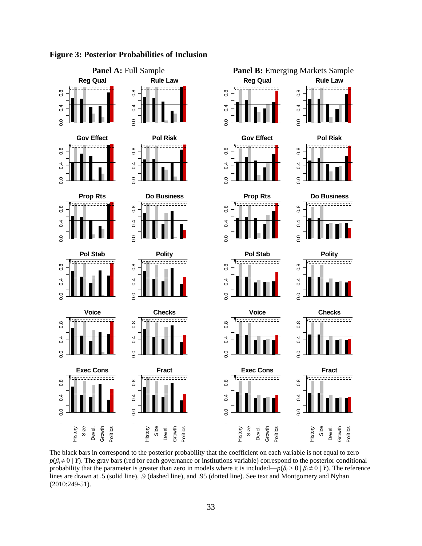

#### <span id="page-32-0"></span>**Figure 3: Posterior Probabilities of Inclusion**

The black bars in correspond to the posterior probability that the coefficient on each variable is not equal to zero  $p(\beta_i \neq 0 | Y)$ . The gray bars (red for each governance or institutions variable) correspond to the posterior conditional probability that the parameter is greater than zero in models where it is included— $p(\beta_i > 0 \mid \beta_i \neq 0 \mid Y)$ . The reference lines are drawn at .5 (solid line), .9 (dashed line), and .95 (dotted line). See text and Montgomery and Nyhan [\(2010:249-51\)](#page-37-9).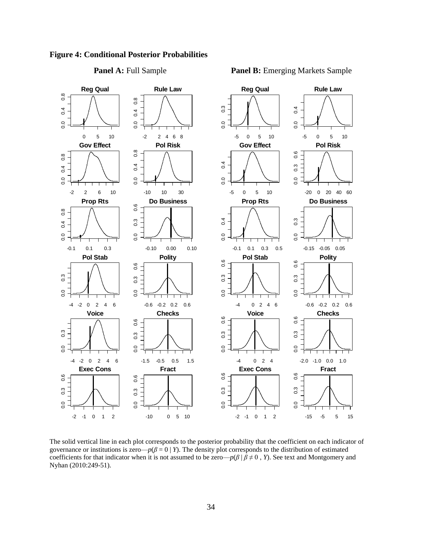

#### <span id="page-33-0"></span>**Figure 4: Conditional Posterior Probabilities**

#### **Panel A:** Full Sample **Panel B:** Emerging Markets Sample

The solid vertical line in each plot corresponds to the posterior probability that the coefficient on each indicator of governance or institutions is zero— $p(\beta = 0 | Y)$ . The density plot corresponds to the distribution of estimated coefficients for that indicator when it is not assumed to be zero— $p(\beta | \beta \neq 0, Y)$ . See text and Montgomery and Nyhan [\(2010:249-51\)](#page-37-9).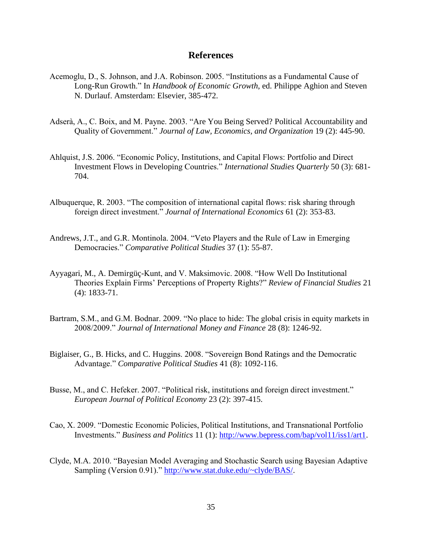#### **References**

- <span id="page-34-10"></span>Acemoglu, D., S. Johnson, and J.A. Robinson. 2005. "Institutions as a Fundamental Cause of Long-Run Growth." In *Handbook of Economic Growth*, ed. Philippe Aghion and Steven N. Durlauf. Amsterdam: Elsevier, 385-472.
- <span id="page-34-1"></span>Adserà, A., C. Boix, and M. Payne. 2003. "Are You Being Served? Political Accountability and Quality of Government." *Journal of Law, Economics, and Organization* 19 (2): 445-90.
- <span id="page-34-6"></span>Ahlquist, J.S. 2006. "Economic Policy, Institutions, and Capital Flows: Portfolio and Direct Investment Flows in Developing Countries." *International Studies Quarterly* 50 (3): 681- 704.
- <span id="page-34-2"></span>Albuquerque, R. 2003. "The composition of international capital flows: risk sharing through foreign direct investment." *Journal of International Economics* 61 (2): 353-83.
- <span id="page-34-4"></span>Andrews, J.T., and G.R. Montinola. 2004. "Veto Players and the Rule of Law in Emerging Democracies." *Comparative Political Studies* 37 (1): 55-87.
- <span id="page-34-5"></span>Ayyagari, M., A. Demirgüç-Kunt, and V. Maksimovic. 2008. "How Well Do Institutional Theories Explain Firms' Perceptions of Property Rights?" *Review of Financial Studies* 21 (4): 1833-71.
- <span id="page-34-8"></span>Bartram, S.M., and G.M. Bodnar. 2009. "No place to hide: The global crisis in equity markets in 2008/2009." *Journal of International Money and Finance* 28 (8): 1246-92.
- <span id="page-34-7"></span>Biglaiser, G., B. Hicks, and C. Huggins. 2008. "Sovereign Bond Ratings and the Democratic Advantage." *Comparative Political Studies* 41 (8): 1092-116.
- <span id="page-34-3"></span>Busse, M., and C. Hefeker. 2007. "Political risk, institutions and foreign direct investment." *European Journal of Political Economy* 23 (2): 397-415.
- <span id="page-34-0"></span>Cao, X. 2009. "Domestic Economic Policies, Political Institutions, and Transnational Portfolio Investments." *Business and Politics* 11 (1): [http://www.bepress.com/bap/vol11/iss1/art1.](http://www.bepress.com/bap/vol11/iss1/art1)
- <span id="page-34-9"></span>Clyde, M.A. 2010. "Bayesian Model Averaging and Stochastic Search using Bayesian Adaptive Sampling (Version 0.91)." [http://www.stat.duke.edu/~clyde/BAS/.](http://www.stat.duke.edu/~clyde/BAS/)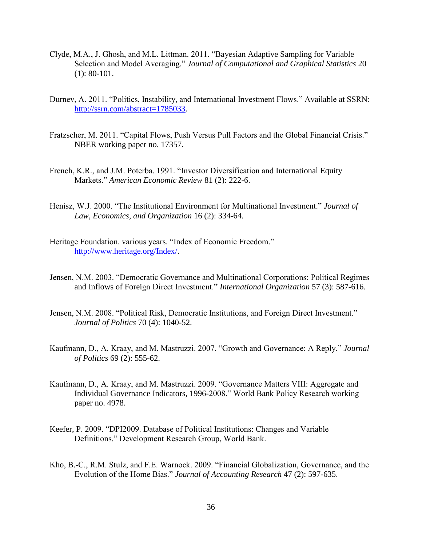- <span id="page-35-9"></span>Clyde, M.A., J. Ghosh, and M.L. Littman. 2011. "Bayesian Adaptive Sampling for Variable Selection and Model Averaging." *Journal of Computational and Graphical Statistics* 20 (1): 80-101.
- <span id="page-35-5"></span>Durnev, A. 2011. "Politics, Instability, and International Investment Flows." Available at SSRN: [http://ssrn.com/abstract=1785033.](http://ssrn.com/abstract=1785033)
- <span id="page-35-8"></span>Fratzscher, M. 2011. "Capital Flows, Push Versus Pull Factors and the Global Financial Crisis." NBER working paper no. 17357.
- <span id="page-35-7"></span>French, K.R., and J.M. Poterba. 1991. "Investor Diversification and International Equity Markets." *American Economic Review* 81 (2): 222-6.
- <span id="page-35-4"></span>Henisz, W.J. 2000. "The Institutional Environment for Multinational Investment." *Journal of Law, Economics, and Organization* 16 (2): 334-64.
- <span id="page-35-10"></span>Heritage Foundation. various years. "Index of Economic Freedom." [http://www.heritage.org/Index/.](http://www.heritage.org/Index/)
- <span id="page-35-2"></span>Jensen, N.M. 2003. "Democratic Governance and Multinational Corporations: Political Regimes and Inflows of Foreign Direct Investment." *International Organization* 57 (3): 587-616.
- <span id="page-35-3"></span>Jensen, N.M. 2008. "Political Risk, Democratic Institutions, and Foreign Direct Investment." *Journal of Politics* 70 (4): 1040-52.
- <span id="page-35-1"></span>Kaufmann, D., A. Kraay, and M. Mastruzzi. 2007. "Growth and Governance: A Reply." *Journal of Politics* 69 (2): 555-62.
- <span id="page-35-0"></span>Kaufmann, D., A. Kraay, and M. Mastruzzi. 2009. "Governance Matters VIII: Aggregate and Individual Governance Indicators, 1996-2008." World Bank Policy Research working paper no. 4978.
- <span id="page-35-11"></span>Keefer, P. 2009. "DPI2009. Database of Political Institutions: Changes and Variable Definitions." Development Research Group, World Bank.
- <span id="page-35-6"></span>Kho, B.-C., R.M. Stulz, and F.E. Warnock. 2009. "Financial Globalization, Governance, and the Evolution of the Home Bias." *Journal of Accounting Research* 47 (2): 597-635.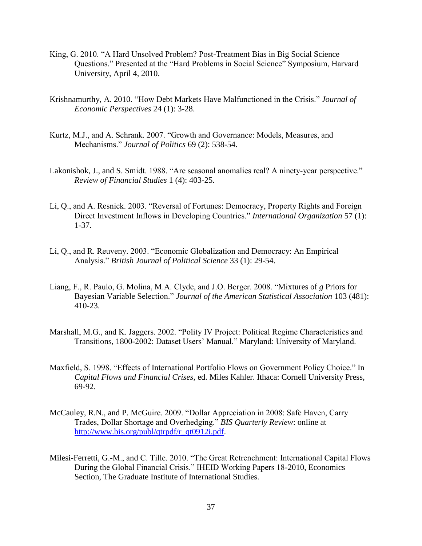- <span id="page-36-8"></span>King, G. 2010. "A Hard Unsolved Problem? Post-Treatment Bias in Big Social Science Questions." Presented at the "Hard Problems in Social Science" Symposium, Harvard University, April 4, 2010.
- <span id="page-36-1"></span>Krishnamurthy, A. 2010. "How Debt Markets Have Malfunctioned in the Crisis." *Journal of Economic Perspectives* 24 (1): 3-28.
- <span id="page-36-3"></span>Kurtz, M.J., and A. Schrank. 2007. "Growth and Governance: Models, Measures, and Mechanisms." *Journal of Politics* 69 (2): 538-54.
- <span id="page-36-7"></span>Lakonishok, J., and S. Smidt. 1988. "Are seasonal anomalies real? A ninety-year perspective." *Review of Financial Studies* 1 (4): 403-25.
- <span id="page-36-4"></span>Li, Q., and A. Resnick. 2003. "Reversal of Fortunes: Democracy, Property Rights and Foreign Direct Investment Inflows in Developing Countries." *International Organization* 57 (1): 1-37.
- <span id="page-36-0"></span>Li, Q., and R. Reuveny. 2003. "Economic Globalization and Democracy: An Empirical Analysis." *British Journal of Political Science* 33 (1): 29-54.
- <span id="page-36-9"></span>Liang, F., R. Paulo, G. Molina, M.A. Clyde, and J.O. Berger. 2008. "Mixtures of *g* Priors for Bayesian Variable Selection." *Journal of the American Statistical Association* 103 (481): 410-23.
- <span id="page-36-10"></span>Marshall, M.G., and K. Jaggers. 2002. "Polity IV Project: Political Regime Characteristics and Transitions, 1800-2002: Dataset Users' Manual." Maryland: University of Maryland.
- <span id="page-36-5"></span>Maxfield, S. 1998. "Effects of International Portfolio Flows on Government Policy Choice." In *Capital Flows and Financial Crises*, ed. Miles Kahler. Ithaca: Cornell University Press, 69-92.
- <span id="page-36-6"></span>McCauley, R.N., and P. McGuire. 2009. "Dollar Appreciation in 2008: Safe Haven, Carry Trades, Dollar Shortage and Overhedging." *BIS Quarterly Review*: online at [http://www.bis.org/publ/qtrpdf/r\\_qt0912i.pdf.](http://www.bis.org/publ/qtrpdf/r_qt0912i.pdf)
- <span id="page-36-2"></span>Milesi-Ferretti, G.-M., and C. Tille. 2010. "The Great Retrenchment: International Capital Flows During the Global Financial Crisis." IHEID Working Papers 18-2010, Economics Section, The Graduate Institute of International Studies.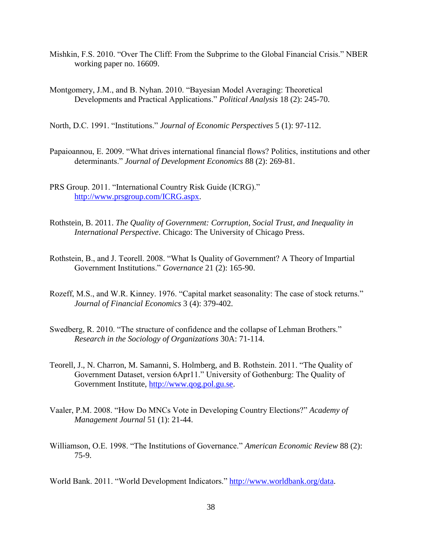- <span id="page-37-5"></span>Mishkin, F.S. 2010. "Over The Cliff: From the Subprime to the Global Financial Crisis." NBER working paper no. 16609.
- <span id="page-37-9"></span>Montgomery, J.M., and B. Nyhan. 2010. "Bayesian Model Averaging: Theoretical Developments and Practical Applications." *Political Analysis* 18 (2): 245-70.
- <span id="page-37-1"></span>North, D.C. 1991. "Institutions." *Journal of Economic Perspectives* 5 (1): 97-112.
- <span id="page-37-7"></span>Papaioannou, E. 2009. "What drives international financial flows? Politics, institutions and other determinants." *Journal of Development Economics* 88 (2): 269-81.
- <span id="page-37-11"></span>PRS Group. 2011. "International Country Risk Guide (ICRG)." [http://www.prsgroup.com/ICRG.aspx.](http://www.prsgroup.com/ICRG.aspx)
- <span id="page-37-4"></span>Rothstein, B. 2011. *The Quality of Government: Corruption, Social Trust, and Inequality in International Perspective*. Chicago: The University of Chicago Press.
- <span id="page-37-2"></span>Rothstein, B., and J. Teorell. 2008. "What Is Quality of Government? A Theory of Impartial Government Institutions." *Governance* 21 (2): 165-90.
- <span id="page-37-8"></span>Rozeff, M.S., and W.R. Kinney. 1976. "Capital market seasonality: The case of stock returns." *Journal of Financial Economics* 3 (4): 379-402.
- <span id="page-37-6"></span>Swedberg, R. 2010. "The structure of confidence and the collapse of Lehman Brothers." *Research in the Sociology of Organizations* 30A: 71-114.
- <span id="page-37-10"></span>Teorell, J., N. Charron, M. Samanni, S. Holmberg, and B. Rothstein. 2011. "The Quality of Government Dataset, version 6Apr11." University of Gothenburg: The Quality of Government Institute, [http://www.qog.pol.gu.se.](http://www.qog.pol.gu.se/)
- <span id="page-37-3"></span>Vaaler, P.M. 2008. "How Do MNCs Vote in Developing Country Elections?" *Academy of Management Journal* 51 (1): 21-44.
- <span id="page-37-0"></span>Williamson, O.E. 1998. "The Institutions of Governance." *American Economic Review* 88 (2): 75-9.

<span id="page-37-12"></span>World Bank. 2011. "World Development Indicators." [http://www.worldbank.org/data.](http://www.worldbank.org/data)